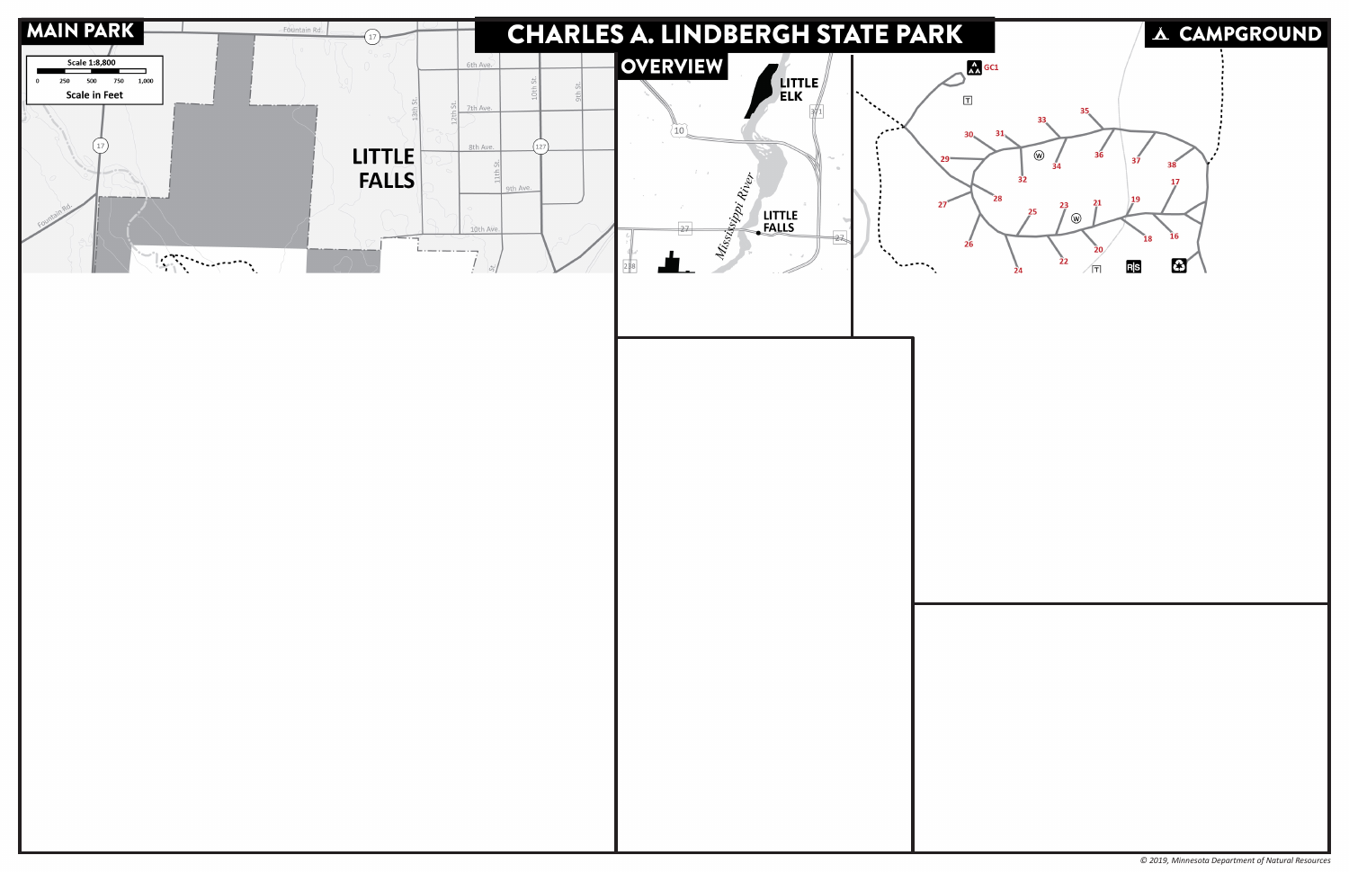

*© 2019, Minnesota Department of Natural Resources*